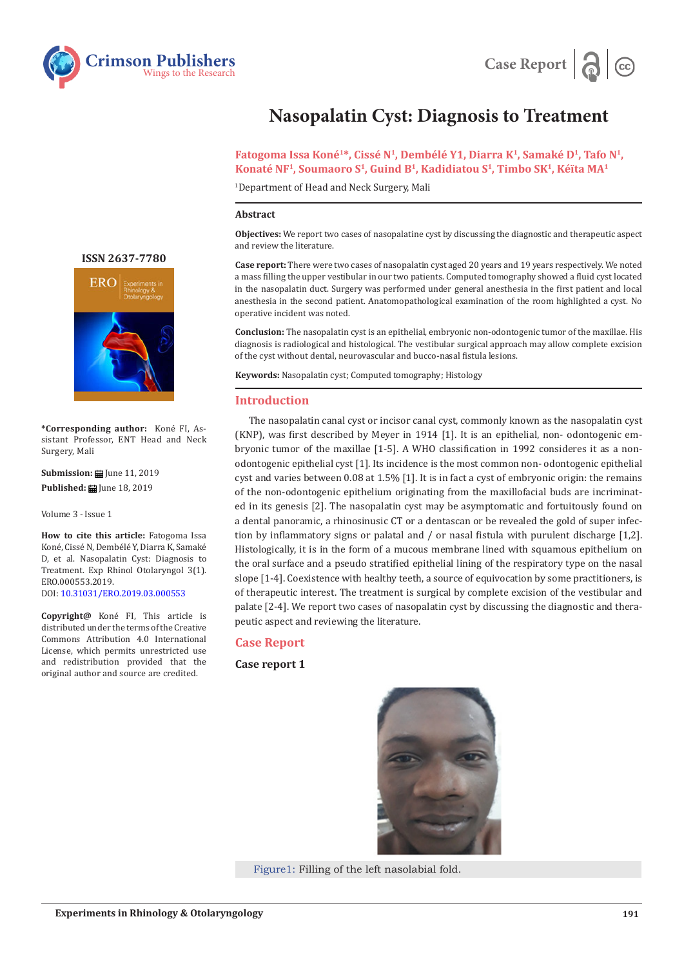



# **Nasopalatin Cyst: Diagnosis to Treatment**

Fatogoma Issa Koné<sup>1\*</sup>, Cissé N<sup>1</sup>, Dembélé Y1, Diarra K<sup>1</sup>, Samaké D<sup>1</sup>, Tafo N<sup>1</sup>, Konaté NF<sup>1</sup>, Soumaoro S<sup>1</sup>, Guind B<sup>1</sup>, Kadidiatou S<sup>1</sup>, Timbo SK<sup>1</sup>, Kéïta MA<sup>1</sup>

1 Department of Head and Neck Surgery, Mali

#### **Abstract**

**Objectives:** We report two cases of nasopalatine cyst by discussing the diagnostic and therapeutic aspect and review the literature.

**Case report:** There were two cases of nasopalatin cyst aged 20 years and 19 years respectively. We noted a mass filling the upper vestibular in our two patients. Computed tomography showed a fluid cyst located in the nasopalatin duct. Surgery was performed under general anesthesia in the first patient and local anesthesia in the second patient. Anatomopathological examination of the room highlighted a cyst. No operative incident was noted.

**Conclusion:** The nasopalatin cyst is an epithelial, embryonic non-odontogenic tumor of the maxillae. His diagnosis is radiological and histological. The vestibular surgical approach may allow complete excision of the cyst without dental, neurovascular and bucco-nasal fistula lesions.

**Keywords:** Nasopalatin cyst; Computed tomography; Histology

# **Introduction**

The nasopalatin canal cyst or incisor canal cyst, commonly known as the nasopalatin cyst (KNP), was first described by Meyer in 1914 [1]. It is an epithelial, non- odontogenic embryonic tumor of the maxillae [1-5]. A WHO classification in 1992 consideres it as a nonodontogenic epithelial cyst [1]. Its incidence is the most common non- odontogenic epithelial cyst and varies between 0.08 at 1.5% [1]. It is in fact a cyst of embryonic origin: the remains of the non-odontogenic epithelium originating from the maxillofacial buds are incriminated in its genesis [2]. The nasopalatin cyst may be asymptomatic and fortuitously found on a dental panoramic, a rhinosinusic CT or a dentascan or be revealed the gold of super infection by inflammatory signs or palatal and / or nasal fistula with purulent discharge [1,2]. Histologically, it is in the form of a mucous membrane lined with squamous epithelium on the oral surface and a pseudo stratified epithelial lining of the respiratory type on the nasal slope [1-4]. Coexistence with healthy teeth, a source of equivocation by some practitioners, is of therapeutic interest. The treatment is surgical by complete excision of the vestibular and palate [2-4]. We report two cases of nasopalatin cyst by discussing the diagnostic and therapeutic aspect and reviewing the literature.

# **Case Report**

**Case report 1**

Figure1: Filling of the left nasolabial fold.

# **ISSN 2637-7780**



**\*Corresponding author:** Koné FI, Assistant Professor, ENT Head and Neck Surgery, Mali

**Submission:** June 11, 2019 **Published: | June 18, 2019** 

Volume 3 - Issue 1

**How to cite this article:** Fatogoma Issa Koné, Cissé N, Dembélé Y, Diarra K, Samaké D, et al. Nasopalatin Cyst: Diagnosis to Treatment. Exp Rhinol Otolaryngol 3(1). ERO.000553.2019. DOI: [10.31031/ERO.2019.03.0005](https://10.31031/ERO.2019.03.000553)53

**Copyright@** Koné FI, This article is distributed under the terms of the Creative Commons Attribution 4.0 International License, which permits unrestricted use and redistribution provided that the original author and source are credited.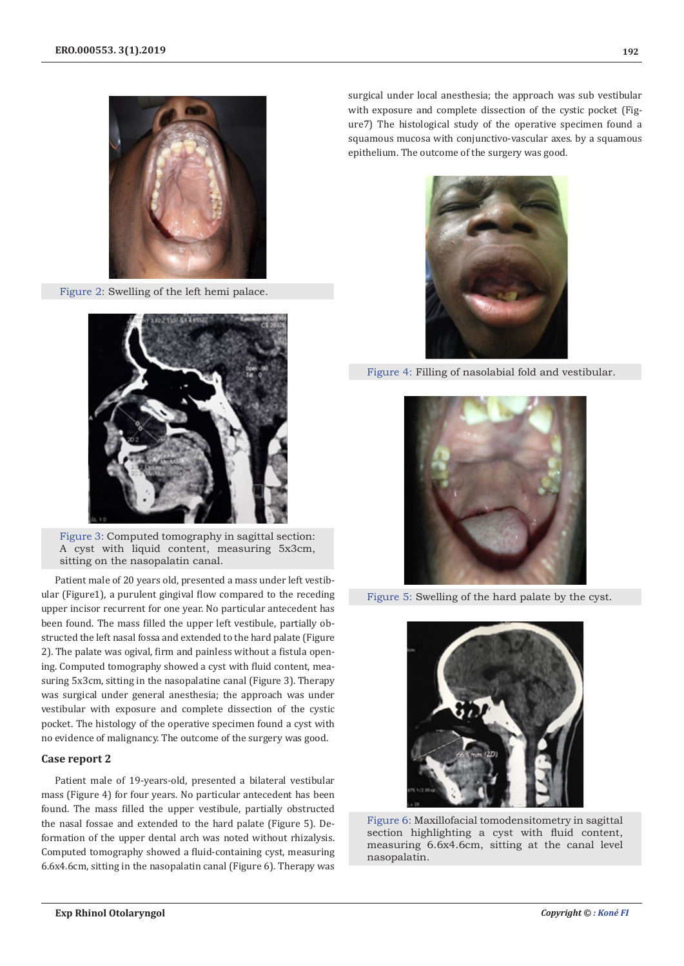

Figure 2: Swelling of the left hemi palace.



Figure 3: Computed tomography in sagittal section: A cyst with liquid content, measuring 5x3cm, sitting on the nasopalatin canal.

Patient male of 20 years old, presented a mass under left vestibular (Figure1), a purulent gingival flow compared to the receding upper incisor recurrent for one year. No particular antecedent has been found. The mass filled the upper left vestibule, partially obstructed the left nasal fossa and extended to the hard palate (Figure 2). The palate was ogival, firm and painless without a fistula opening. Computed tomography showed a cyst with fluid content, measuring 5x3cm, sitting in the nasopalatine canal (Figure 3). Therapy was surgical under general anesthesia; the approach was under vestibular with exposure and complete dissection of the cystic pocket. The histology of the operative specimen found a cyst with no evidence of malignancy. The outcome of the surgery was good.

#### **Case report 2**

Patient male of 19-years-old, presented a bilateral vestibular mass (Figure 4) for four years. No particular antecedent has been found. The mass filled the upper vestibule, partially obstructed the nasal fossae and extended to the hard palate (Figure 5). Deformation of the upper dental arch was noted without rhizalysis. Computed tomography showed a fluid-containing cyst, measuring 6.6x4.6cm, sitting in the nasopalatin canal (Figure 6). Therapy was

surgical under local anesthesia; the approach was sub vestibular with exposure and complete dissection of the cystic pocket (Figure7) The histological study of the operative specimen found a squamous mucosa with conjunctivo-vascular axes. by a squamous epithelium. The outcome of the surgery was good.



Figure 4: Filling of nasolabial fold and vestibular.



Figure 5: Swelling of the hard palate by the cyst.



Figure 6: Maxillofacial tomodensitometry in sagittal section highlighting a cyst with fluid content, measuring 6.6x4.6cm, sitting at the canal level nasopalatin.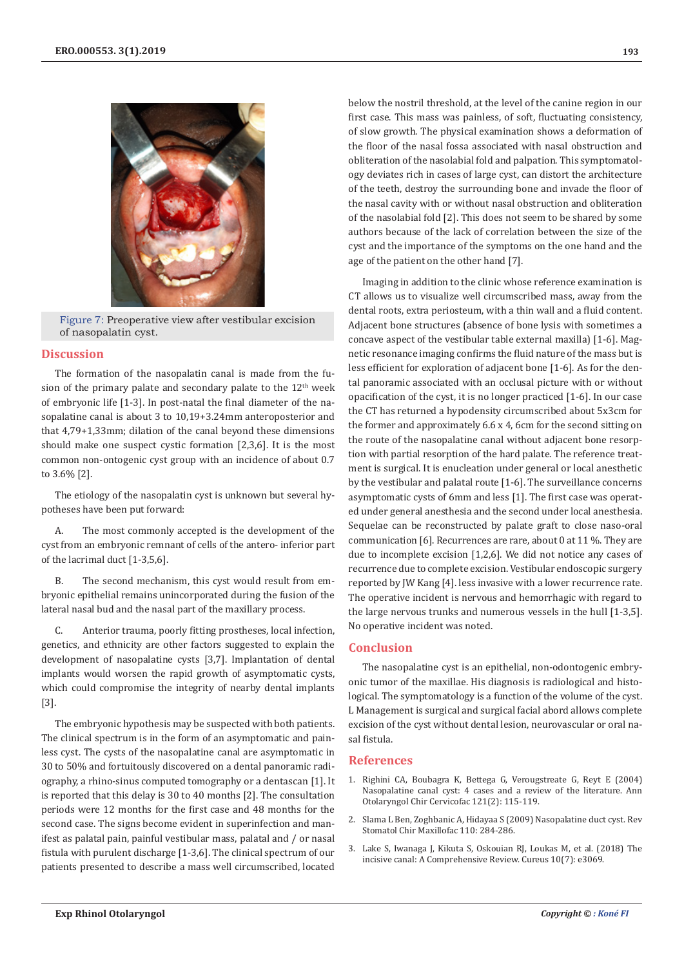

Figure 7: Preoperative view after vestibular excision of nasopalatin cyst.

# **Discussion**

The formation of the nasopalatin canal is made from the fusion of the primary palate and secondary palate to the  $12<sup>th</sup>$  week of embryonic life [1-3]. In post-natal the final diameter of the nasopalatine canal is about 3 to 10,19+3.24mm anteroposterior and that 4,79+1,33mm; dilation of the canal beyond these dimensions should make one suspect cystic formation [2,3,6]. It is the most common non-ontogenic cyst group with an incidence of about 0.7 to 3.6% [2].

The etiology of the nasopalatin cyst is unknown but several hypotheses have been put forward:

A. The most commonly accepted is the development of the cyst from an embryonic remnant of cells of the antero- inferior part of the lacrimal duct [1-3,5,6].

B. The second mechanism, this cyst would result from embryonic epithelial remains unincorporated during the fusion of the lateral nasal bud and the nasal part of the maxillary process.

C. Anterior trauma, poorly fitting prostheses, local infection, genetics, and ethnicity are other factors suggested to explain the development of nasopalatine cysts [3,7]. Implantation of dental implants would worsen the rapid growth of asymptomatic cysts, which could compromise the integrity of nearby dental implants [3].

The embryonic hypothesis may be suspected with both patients. The clinical spectrum is in the form of an asymptomatic and painless cyst. The cysts of the nasopalatine canal are asymptomatic in 30 to 50% and fortuitously discovered on a dental panoramic radiography, a rhino-sinus computed tomography or a dentascan [1]. It is reported that this delay is 30 to 40 months [2]. The consultation periods were 12 months for the first case and 48 months for the second case. The signs become evident in superinfection and manifest as palatal pain, painful vestibular mass, palatal and / or nasal fistula with purulent discharge [1-3,6]. The clinical spectrum of our patients presented to describe a mass well circumscribed, located

below the nostril threshold, at the level of the canine region in our first case. This mass was painless, of soft, fluctuating consistency, of slow growth. The physical examination shows a deformation of the floor of the nasal fossa associated with nasal obstruction and obliteration of the nasolabial fold and palpation. This symptomatology deviates rich in cases of large cyst, can distort the architecture of the teeth, destroy the surrounding bone and invade the floor of the nasal cavity with or without nasal obstruction and obliteration of the nasolabial fold [2]. This does not seem to be shared by some authors because of the lack of correlation between the size of the cyst and the importance of the symptoms on the one hand and the age of the patient on the other hand [7].

Imaging in addition to the clinic whose reference examination is CT allows us to visualize well circumscribed mass, away from the dental roots, extra periosteum, with a thin wall and a fluid content. Adjacent bone structures (absence of bone lysis with sometimes a concave aspect of the vestibular table external maxilla) [1-6]. Magnetic resonance imaging confirms the fluid nature of the mass but is less efficient for exploration of adjacent bone [1-6]. As for the dental panoramic associated with an occlusal picture with or without opacification of the cyst, it is no longer practiced [1-6]. In our case the CT has returned a hypodensity circumscribed about 5x3cm for the former and approximately 6.6 x 4, 6cm for the second sitting on the route of the nasopalatine canal without adjacent bone resorption with partial resorption of the hard palate. The reference treatment is surgical. It is enucleation under general or local anesthetic by the vestibular and palatal route [1-6]. The surveillance concerns asymptomatic cysts of 6mm and less [1]. The first case was operated under general anesthesia and the second under local anesthesia. Sequelae can be reconstructed by palate graft to close naso-oral communication [6]. Recurrences are rare, about 0 at 11 %. They are due to incomplete excision [1,2,6]. We did not notice any cases of recurrence due to complete excision. Vestibular endoscopic surgery reported by JW Kang [4]. less invasive with a lower recurrence rate. The operative incident is nervous and hemorrhagic with regard to the large nervous trunks and numerous vessels in the hull [1-3,5]. No operative incident was noted.

#### **Conclusion**

The nasopalatine cyst is an epithelial, non-odontogenic embryonic tumor of the maxillae. His diagnosis is radiological and histological. The symptomatology is a function of the volume of the cyst. L Management is surgical and surgical facial abord allows complete excision of the cyst without dental lesion, neurovascular or oral nasal fistula.

# **References**

- 1. [Righini CA, Boubagra K, Bettega G, Verougstreate G, Reyt E \(2004\)](https://www.ncbi.nlm.nih.gov/pubmed/15107738) [Nasopalatine canal cyst: 4 cases and a review of the literature. Ann](https://www.ncbi.nlm.nih.gov/pubmed/15107738) [Otolaryngol Chir Cervicofac 121\(2\): 115-119.](https://www.ncbi.nlm.nih.gov/pubmed/15107738)
- 2. [Slama L Ben, Zoghbanic A, Hidayaa S \(2009\) Nasopalatine duct cyst. Rev](https://www.ncbi.nlm.nih.gov/pubmed/19828162) [Stomatol Chir Maxillofac 110: 284-286.](https://www.ncbi.nlm.nih.gov/pubmed/19828162)
- 3. [Lake S, Iwanaga J, Kikuta S, Oskouian RJ, Loukas M, et al. \(2018\) The](https://www.ncbi.nlm.nih.gov/pubmed/30280065/) [incisive canal: A Comprehensive Review. Cureus 10\(7\): e3069.](https://www.ncbi.nlm.nih.gov/pubmed/30280065/)